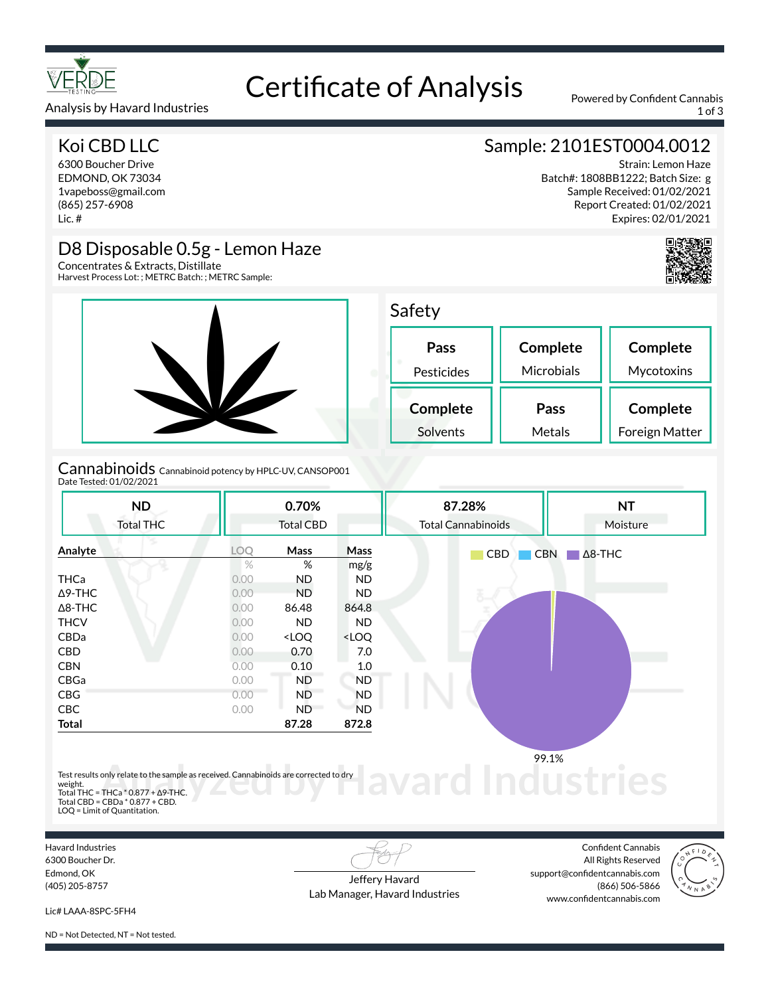

### Analysis by Havard Industries 1 of 3

### Koi CBD LLC

6300 Boucher Drive EDMOND, OK 73034 1vapeboss@gmail.com (865) 257-6908 Lic. #

### D8 Disposable 0.5g - Lemon Haze

Concentrates & Extracts, Distillate Harvest Process Lot: ; METRC Batch: ; METRC Sample:



### Cannabinoids Cannabinoid potency by HPLC-UV, CANSOP001 Date Tested: 01/02/2021

**Analyte LOQ Mass Mass**

THCa 0.00 ND ND Δ9-THC 0.00 ND ND Δ8-THC 0.00 86.48 864.8 THCV 0.00 ND ND CBDa 0.00 <LOQ <LOQ CBD 0.00 0.70 7.0 CBN 0.00 0.10 1.0 CBGa 0.00 ND ND CBG 0.00 ND ND CBC 0.00 ND ND **Total 87.28 872.8**

**ND** Total THC

### **Pass** Pesticides **Complete** Solvents

**0.70%** Total CBD

%  $\%$  mg/g

 $S_{i}$ 

**87.28%** Total Cannabinoids

| afety      |            |            |
|------------|------------|------------|
| Pass       | Complete   | Complete   |
| Pesticides | Microbials | Mycotoxins |
| Complete   | 'ass       | Complete   |

Metals

CBD CBN Δ8-THC

Test results only relate to the sample as received. Cannabinoids are corrected to dry

Total THC = THCa \* 0.877 + ∆9-THC. Total CBD = CBDa \* 0.877 + CBD. LOQ = Limit of Quantitation.

Havard Industries 6300 Boucher Dr. Edmond, OK (405) 205-8757

weight.

Jeffery Havard Lab Manager, Havard Industries

Confident Cannabis All Rights Reserved support@confidentcannabis.com (866) 506-5866 www.confidentcannabis.com

**d Industries** 

99.1%



Lic# LAAA-8SPC-5FH4

ND = Not Detected, NT = Not tested.



Strain: Lemon Haze

Sample: 2101EST0004.0012

Batch#: 1808BB1222; Batch Size: g Sample Received: 01/02/2021 Report Created: 01/02/2021 Expires: 02/01/2021

> **NT** Moisture

Foreign Matter